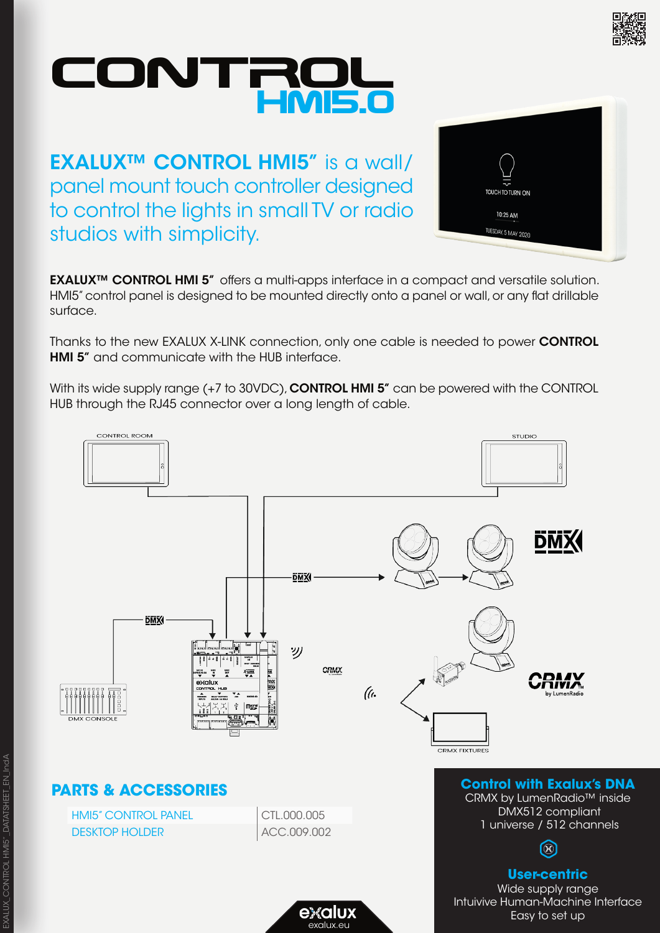

# ONTRU HMI5.0

**EXALUX™ CONTROL HMI5"** is a wall/ panel mount touch controller designed to control the lights in small TV or radio studios with simplicity.



EXALUX<sup>™</sup> CONTROL HMI 5" offers a multi-apps interface in a compact and versatile solution. HMI5" control panel is designed to be mounted directly onto a panel or wall, or any flat drillable surface.

Thanks to the new EXALUX X-LINK connection, only one cable is needed to power CONTROL **HMI 5"** and communicate with the HUB interface.

With its wide supply range (+7 to 30VDC), **CONTROL HMI 5"** can be powered with the CONTROL HUB through the RJ45 connector over a long length of cable.